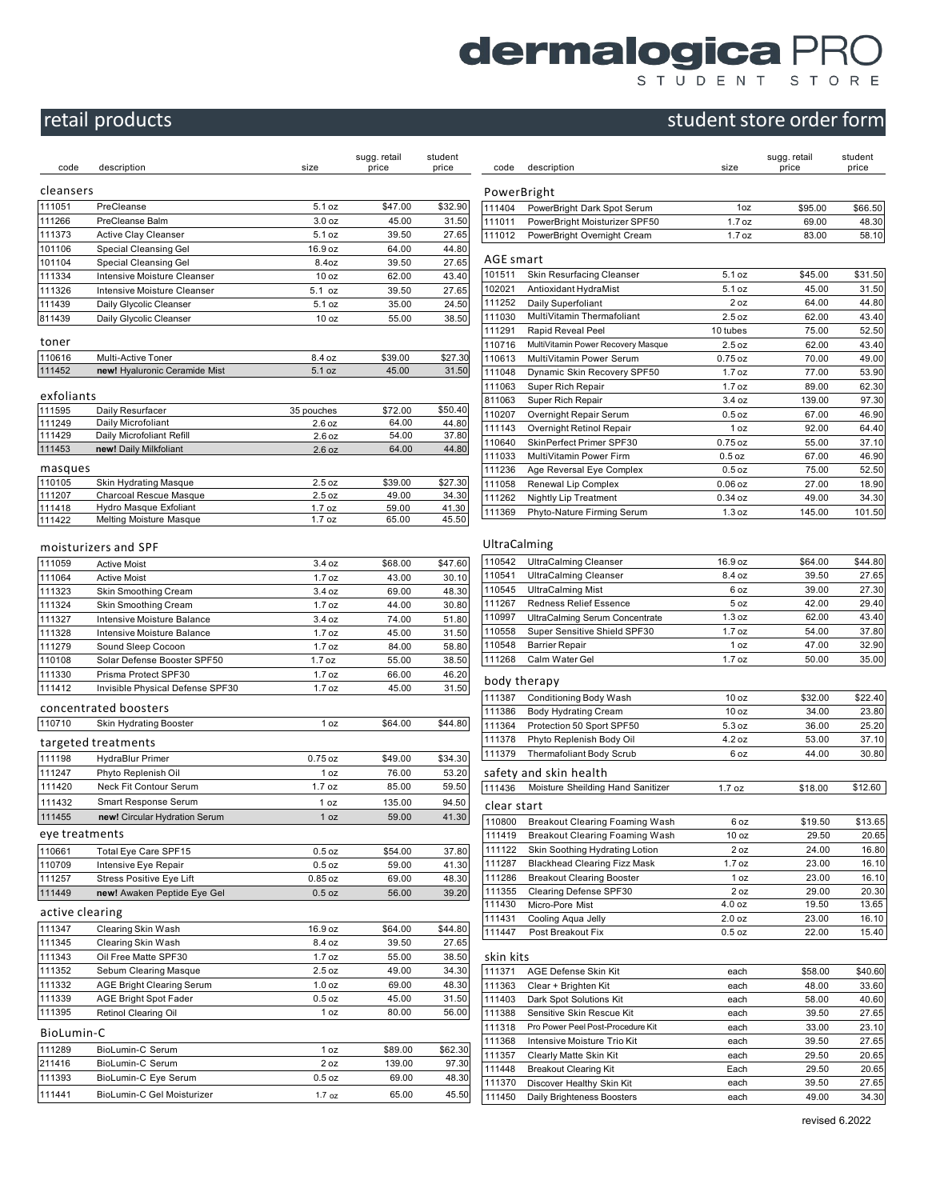# **dermalogica PRO**

## student store order form

|                  | retail products                                      |                       |                       |                  |                  |                                    |
|------------------|------------------------------------------------------|-----------------------|-----------------------|------------------|------------------|------------------------------------|
|                  |                                                      |                       |                       |                  |                  |                                    |
| code             | description                                          | size                  | sugg. retail<br>price | student<br>price | code             | descr                              |
| cleansers        |                                                      |                       |                       |                  | PowerBrigh       |                                    |
| 111051           | PreCleanse                                           | 5.1 oz                | \$47.00               | \$32.90          | 111404           | Powe                               |
| 111266           | PreCleanse Balm                                      | 3.0 <sub>oz</sub>     | 45.00                 | 31.50            | 111011           | Powe                               |
| 111373           | Active Clay Cleanser                                 | 5.1 oz                | 39.50                 | 27.65            | 111012           | Powe                               |
| 101106           | Special Cleansing Gel                                | 16.9 oz               | 64.00                 | 44.80            | <b>AGE smart</b> |                                    |
| 101104<br>111334 | Special Cleansing Gel<br>Intensive Moisture Cleanser | 8.4oz<br>10 oz        | 39.50<br>62.00        | 27.65<br>43.40   | 101511           | Skin I                             |
| 111326           | Intensive Moisture Cleanser                          | 5.1 oz                | 39.50                 | 27.65            | 102021           | Antio                              |
| 111439           | Daily Glycolic Cleanser                              | 5.1 oz                | 35.00                 | 24.50            | 111252           | Daily                              |
| 811439           | Daily Glycolic Cleanser                              | 10 <sub>oz</sub>      | 55.00                 | 38.50            | 111030           | Multi <sup>\</sup>                 |
| toner            |                                                      |                       |                       |                  | 111291           | Rapio<br>MultiV                    |
| 110616           | Multi-Active Toner                                   | 8.4 oz                | \$39.00               | \$27.30          | 110716<br>110613 | Multi <sup>\</sup>                 |
| 111452           | new! Hyaluronic Ceramide Mist                        | 5.1 oz                | 45.00                 | 31.50            | 111048           | Dyna                               |
|                  |                                                      |                       |                       |                  | 111063           | Supe                               |
| exfoliants       |                                                      |                       |                       |                  | 811063           | Super                              |
| 111595<br>111249 | Daily Resurfacer<br>Daily Microfoliant               | 35 pouches<br>2.6 oz  | \$72.00<br>64.00      | \$50.40<br>44.80 | 110207           | Overr                              |
| 111429           | Daily Microfoliant Refill                            | 2.6 oz                | 54.00                 | 37.80            | 111143           | Overr                              |
| 111453           | new! Daily Milkfoliant                               | 2.6 oz                | 64.00                 | 44.80            | 110640<br>111033 | <b>SkinF</b><br>Multi <sup>\</sup> |
| masques          |                                                      |                       |                       |                  | 111236           | Age F                              |
| 110105           | Skin Hydrating Masque                                | 2.5 oz                | \$39.00               | \$27.30          | 111058           | Rene                               |
| 111207           | Charcoal Rescue Masque                               | 2.5 oz                | 49.00                 | 34.30            | 111262           | Night                              |
| 111418<br>111422 | Hydro Masque Exfoliant<br>Melting Moisture Masque    | 1.7 oz<br>1.7 oz      | 59.00<br>65.00        | 41.30<br>45.50   | 111369           | Phyto                              |
|                  | moisturizers and SPF                                 |                       |                       |                  | UltraCalming     |                                    |
| 111059           | <b>Active Moist</b>                                  | 3.4 oz                | \$68.00               | \$47.60          | 110542           | Ultra                              |
| 111064           | <b>Active Moist</b>                                  | 1.7 oz                | 43.00                 | 30.10            | 110541           | Ultra                              |
| 111323           | Skin Smoothing Cream                                 | 3.4 oz                | 69.00                 | 48.30            | 110545<br>111267 | Ultra<br>Redn                      |
| 111324<br>111327 | Skin Smoothing Cream<br>Intensive Moisture Balance   | 1.7 oz<br>3.4 oz      | 44.00<br>74.00        | 30.80<br>51.80   | 110997           | Ultra0                             |
| 111328           | Intensive Moisture Balance                           | 1.7 oz                | 45.00                 | 31.50            | 110558           | Supe                               |
| 111279           | Sound Sleep Cocoon                                   | 1.7 oz                | 84.00                 | 58.80            | 110548           | Barrie                             |
| 110108           | Solar Defense Booster SPF50                          | 1.7 oz                | 55.00                 | 38.50            | 111268           | Calm                               |
| 111330           | Prisma Protect SPF30                                 | 1.7 oz                | 66.00                 | 46.20            | body therap      |                                    |
| 111412           | Invisible Physical Defense SPF30                     | 1.7 oz                | 45.00                 | 31.50            | 111387           | Cond                               |
|                  | concentrated boosters                                |                       |                       |                  | 111386           | Body                               |
| 110710           | Skin Hydrating Booster                               | 1 oz                  | \$64.00               | \$44.80          | 111364           | Prote                              |
|                  | targeted treatments                                  |                       |                       |                  | 111378           | Phyto                              |
| 111198           | HydraBlur Primer                                     | $0.75$ oz             | \$49.00               | \$34.30          | 111379           | Therr                              |
| 111247           | Phyto Replenish Oil                                  | 1 oz                  | 76.00                 | 53.20            | safety and s     |                                    |
| 111420           | Neck Fit Contour Serum                               | 1.7 oz                | 85.00                 | 59.50            | 111436           | Moist                              |
| 111432           | Smart Response Serum                                 | 1 oz                  | 135.00                | 94.50            | clear start      |                                    |
| 111455           | new! Circular Hydration Serum                        | 1 oz                  | 59.00                 | 41.30            | 110800           | Breal                              |
| eye treatments   |                                                      |                       |                       |                  | 111419           | Breal                              |
| 110661           | Total Eye Care SPF15                                 | $0.5$ oz              | \$54.00               | 37.80            | 111122           | Skin                               |
| 110709<br>111257 | Intensive Eye Repair<br>Stress Positive Eye Lift     | $0.5$ oz<br>$0.85$ oz | 59.00<br>69.00        | 41.30<br>48.30   | 111287<br>111286 | Black<br>Breal                     |
| 111449           | new! Awaken Peptide Eye Gel                          | $0.5$ oz              | 56.00                 | 39.20            | 111355           | Clear                              |
|                  |                                                      |                       |                       |                  | 111430           | Micro                              |
| active clearing  |                                                      |                       |                       |                  | 111431           | Cooli                              |
| 111347<br>111345 | Clearing Skin Wash<br>Clearing Skin Wash             | 16.9 oz<br>8.4 oz     | \$64.00<br>39.50      | \$44.80<br>27.65 | 111447           | Post                               |
| 111343           | Oil Free Matte SPF30                                 | 1.7 oz                | 55.00                 | 38.50            | skin kits        |                                    |
| 111352           | Sebum Clearing Masque                                | 2.5 oz                | 49.00                 | 34.30            | 111371           | AGE                                |
| 111332           | <b>AGE Bright Clearing Serum</b>                     | $1.0$ oz              | 69.00                 | 48.30            | 111363           | Clear                              |
| 111339           | AGE Bright Spot Fader                                | $0.5$ oz              | 45.00                 | 31.50            | 111403           | Dark                               |
| 111395           | Retinol Clearing Oil                                 | 1 oz                  | 80.00                 | 56.00            | 111388           | Sensi                              |
| BioLumin-C       |                                                      |                       |                       |                  | 111318           | Pro Po                             |
| 111289           | BioLumin-C Serum                                     | 1 oz                  | \$89.00               | \$62.30          | 111368<br>111357 | Inten:<br>Clear                    |
| 211416           | BioLumin-C Serum                                     | 2 oz                  | 139.00                | 97.30            | 111448           | <b>Break</b>                       |
| 111393           | BioLumin-C Eye Serum                                 | $0.5$ oz              | 69.00                 | 48.30            | 111370           | Disco                              |
| 111441           | BioLumin-C Gel Moisturizer                           | 1.7 oz                | 65.00                 | 45.50            | 111450           | Daily                              |

| etail<br>e     | student<br>price | code         | description                           | size              | sugg. retail<br>price | student<br>price |
|----------------|------------------|--------------|---------------------------------------|-------------------|-----------------------|------------------|
|                |                  | PowerBright  |                                       |                   |                       |                  |
| \$47.00        | \$32.90          | 111404       | PowerBright Dark Spot Serum           | 1oz               | \$95.00               | \$66.50          |
| 45.00          | 31.50            | 111011       | PowerBright Moisturizer SPF50         | 1.7 oz            | 69.00                 | 48.30            |
| 39.50          | 27.65            | 111012       | PowerBright Overnight Cream           | 1.7 oz            | 83.00                 | 58.10            |
| 64.00          | 44.80            |              |                                       |                   |                       |                  |
| 39.50          | 27.65            | AGE smart    |                                       |                   |                       |                  |
| 62.00          | 43.40            | 101511       | Skin Resurfacing Cleanser             | 5.1 oz            | \$45.00               | \$31.50          |
| 39.50          | 27.65            | 102021       | Antioxidant HydraMist                 | 5.1 oz            | 45.00                 | 31.50            |
| 35.00          | 24.50            | 111252       | Daily Superfoliant                    | 2 oz              | 64.00                 | 44.80            |
| 55.00          | 38.50            | 111030       | MultiVitamin Thermafoliant            | 2.5 oz            | 62.00                 | 43.40            |
|                |                  | 111291       | Rapid Reveal Peel                     | 10 tubes          | 75.00                 | 52.50            |
|                |                  | 110716       | MultiVitamin Power Recovery Masque    | 2.5 oz            | 62.00                 | 43.40            |
| \$39.00        | \$27.30          | 110613       | MultiVitamin Power Serum              | $0.75$ oz         | 70.00                 | 49.00            |
| 45.00          | 31.50            | 111048       | Dynamic Skin Recovery SPF50           | 1.7 oz            | 77.00                 | 53.90            |
|                |                  | 111063       | Super Rich Repair                     | 1.7 oz            | 89.00                 | 62.30            |
|                |                  | 811063       | Super Rich Repair                     | 3.4 oz            | 139.00                | 97.30            |
| \$72.00        | \$50.40          | 110207       | Overnight Repair Serum                | $0.5$ oz          | 67.00                 | 46.90            |
| 64.00          | 44.80            | 111143       | Overnight Retinol Repair              | 1 oz              | 92.00                 | 64.40            |
| 54.00<br>64.00 | 37.80<br>44.80   | 110640       | SkinPerfect Primer SPF30              | $0.75$ oz         | 55.00                 | 37.10            |
|                |                  | 111033       | MultiVitamin Power Firm               | $0.5$ oz          | 67.00                 | 46.90            |
|                |                  | 111236       | Age Reversal Eye Complex              | $0.5$ oz          | 75.00                 | 52.50            |
| \$39.00        | \$27.30          | 111058       | Renewal Lip Complex                   | $0.06$ oz         | 27.00                 | 18.90            |
| 49.00          | 34.30            | 111262       | Nightly Lip Treatment                 | $0.34$ oz         | 49.00                 | 34.30            |
| 59.00          | 41.30            | 111369       | Phyto-Nature Firming Serum            | 1.3 oz            | 145.00                | 101.50           |
| 65.00          | 45.50            | UltraCalming |                                       |                   |                       |                  |
| \$68.00        | \$47.60          | 110542       | <b>UltraCalming Cleanser</b>          | 16.9 oz           | \$64.00               | \$44.80          |
| 43.00          | 30.10            | 110541       | <b>UltraCalming Cleanser</b>          | 8.4 oz            | 39.50                 | 27.65            |
| 69.00          | 48.30            | 110545       | <b>UltraCalming Mist</b>              | 6 oz              | 39.00                 | 27.30            |
| 44.00          | 30.80            | 111267       | <b>Redness Relief Essence</b>         | 5 <sub>oz</sub>   | 42.00                 | 29.40            |
| 74.00          | 51.80            | 110997       | UltraCalming Serum Concentrate        | 1.3 oz            | 62.00                 | 43.40            |
| 45.00          | 31.50            | 110558       | Super Sensitive Shield SPF30          | $1.7$ oz          | 54.00                 | 37.80            |
| 84.00          | 58.80            | 110548       | <b>Barrier Repair</b>                 | 1 oz              | 47.00                 | 32.90            |
| 55.00          | 38.50            | 111268       | Calm Water Gel                        | $1.7$ oz          | 50.00                 | 35.00            |
| 66.00          | 46.20            |              |                                       |                   |                       |                  |
| 45.00          | 31.50            |              | body therapy                          |                   |                       |                  |
|                |                  | 111387       | Conditioning Body Wash                | 10 <sub>oz</sub>  | \$32.00               | \$22.40          |
|                |                  | 111386       | <b>Body Hydrating Cream</b>           | 10 <sub>oz</sub>  | 34.00                 | 23.80            |
| \$64.00        | \$44.80          | 111364       | Protection 50 Sport SPF50             | 5.3 oz            | 36.00                 | 25.20            |
|                |                  | 111378       | Phyto Replenish Body Oil              | 4.2 oz            | 53.00                 | 37.10            |
| \$49.00        | \$34.30          | 111379       | Thermafoliant Body Scrub              | 6 oz              | 44.00                 | 30.80            |
|                | 53.20            |              |                                       |                   |                       |                  |
| 76.00          |                  |              | safety and skin health                |                   |                       |                  |
| 85.00          | 59.50            | 111436       | Moisture Sheilding Hand Sanitizer     | 1.7 oz            | \$18.00               | \$12.60          |
| 135.00         | 94.50            | clear start  |                                       |                   |                       |                  |
| 59.00          | 41.30            | 110800       | Breakout Clearing Foaming Wash        | 6 oz              | \$19.50               | \$13.65          |
|                |                  | 111419       | <b>Breakout Clearing Foaming Wash</b> | 10 oz             | 29.50                 | 20.65            |
| \$54.00        | 37.80            | 111122       | Skin Soothing Hydrating Lotion        | 2 oz              | 24.00                 | 16.80            |
| 59.00          | 41.30            | 111287       | <b>Blackhead Clearing Fizz Mask</b>   | $1.7$ oz          | 23.00                 | 16.10            |
| 69.00          | 48.30            | 111286       | <b>Breakout Clearing Booster</b>      | 1 oz              | 23.00                 | 16.10            |
| 56.00          | 39.20            | 111355       | Clearing Defense SPF30                | 2 oz              | 29.00                 | 20.30            |
|                |                  | 111430       | Micro-Pore Mist                       | 4.0 oz            | 19.50                 | 13.65            |
|                |                  | 111431       | Cooling Aqua Jelly                    | 2.0 <sub>oz</sub> | 23.00                 | 16.10            |
| \$64.00        | \$44.80          | 111447       | Post Breakout Fix                     | $0.5$ oz          | 22.00                 | 15.40            |
| 39.50          | 27.65            |              |                                       |                   |                       |                  |
| 55.00          | 38.50            | skin kits    |                                       |                   |                       |                  |
| 49.00          | 34.30            | 111371       | AGE Defense Skin Kit                  | each              | \$58.00               | \$40.60          |
| 69.00          | 48.30            | 111363       | Clear + Brighten Kit                  | each              | 48.00                 | 33.60            |
| 45.00          | 31.50            | 111403       | Dark Spot Solutions Kit               | each              | 58.00                 | 40.60            |
| 80.00          | 56.00            | 111388       | Sensitive Skin Rescue Kit             | each              | 39.50                 | 27.65            |
|                |                  | 111318       | Pro Power Peel Post-Procedure Kit     | each              | 33.00                 | 23.10            |
|                |                  | 111368       | Intensive Moisture Trio Kit           | each              | 39.50                 | 27.65            |
| \$89.00        | \$62.30          | 111357       | Clearly Matte Skin Kit                | each              | 29.50                 | 20.65            |
| 139.00         | 97.30            | 111448       | <b>Breakout Clearing Kit</b>          | Each              | 29.50                 | 20.65            |
| 69.00          | 48.30            | 111370       | Discover Healthy Skin Kit             | each              | 39.50                 | 27.65            |
| 65.00          | 45.50            | 111450       | Daily Brighteness Boosters            | each              | 49.00                 | 34.30            |
|                |                  |              |                                       |                   |                       |                  |